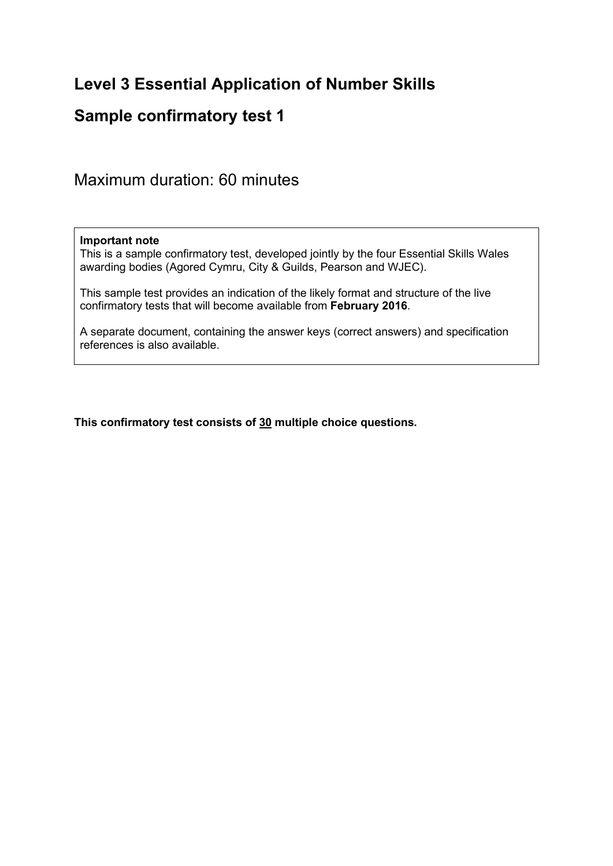# **Level 3 Essential Application of Number Skills**

## **Sample confirmatory test 1**

Maximum duration: 60 minutes

#### **Important note**

This is a sample confirmatory test, developed jointly by the four Essential Skills Wales awarding bodies (Agored Cymru, City & Guilds, Pearson and WJEC).

This sample test provides an indication of the likely format and structure of the live confirmatory tests that will become available from **February 2016**.

A separate document, containing the answer keys (correct answers) and specification references is also available.

**This confirmatory test consists of 30 multiple choice questions.**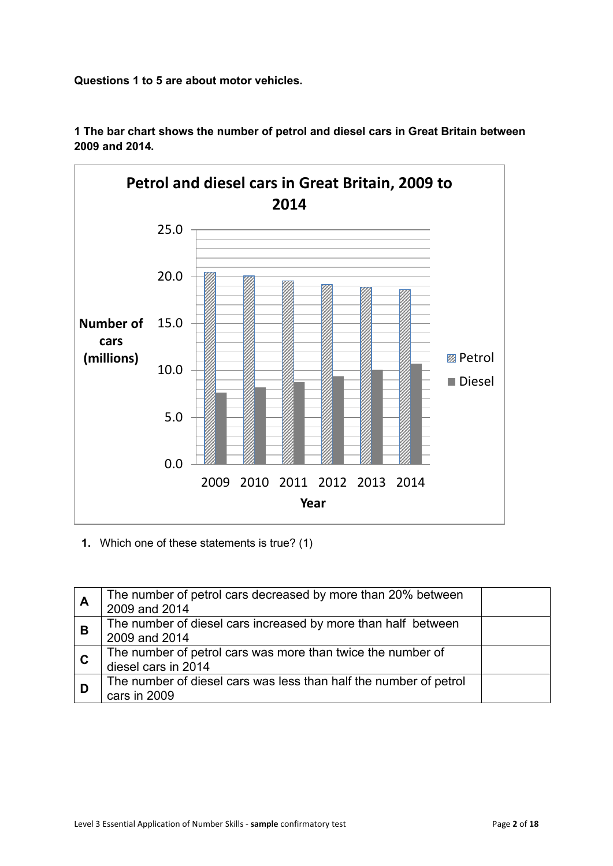**Questions 1 to 5 are about motor vehicles.**



**1 The bar chart shows the number of petrol and diesel cars in Great Britain between 2009 and 2014.**

**1.** Which one of these statements is true? (1)

| A              | The number of petrol cars decreased by more than 20% between<br>2009 and 2014      |  |
|----------------|------------------------------------------------------------------------------------|--|
| <b>B</b>       | The number of diesel cars increased by more than half between<br>2009 and 2014     |  |
| $\overline{c}$ | The number of petrol cars was more than twice the number of<br>diesel cars in 2014 |  |
| D              | The number of diesel cars was less than half the number of petrol<br>cars in 2009  |  |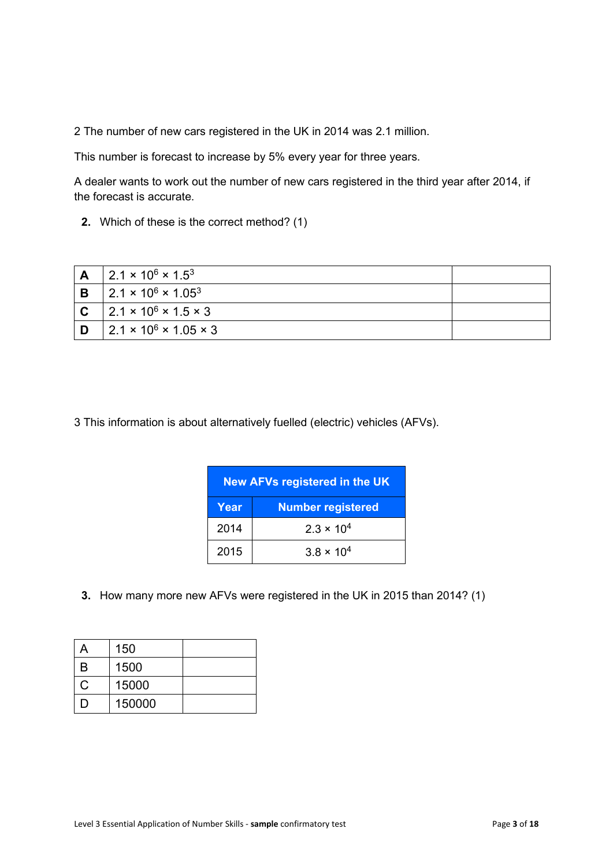2 The number of new cars registered in the UK in 2014 was 2.1 million.

This number is forecast to increase by 5% every year for three years.

A dealer wants to work out the number of new cars registered in the third year after 2014, if the forecast is accurate.

**2.** Which of these is the correct method? (1)

|   | $2.1 \times 10^6 \times 1.5^3$         |  |
|---|----------------------------------------|--|
| В | $2.1 \times 10^6 \times 1.05^3$        |  |
|   | $2.1 \times 10^6 \times 1.5 \times 3$  |  |
|   | $2.1 \times 10^6 \times 1.05 \times 3$ |  |

3 This information is about alternatively fuelled (electric) vehicles (AFVs).

| <b>New AFVs registered in the UK</b> |                          |  |  |
|--------------------------------------|--------------------------|--|--|
| Year                                 | <b>Number registered</b> |  |  |
| 2014                                 | $2.3 \times 10^{4}$      |  |  |
| 2015                                 | $3.8 \times 10^{4}$      |  |  |

**3.** How many more new AFVs were registered in the UK in 2015 than 2014? (1)

| А              | 150    |  |
|----------------|--------|--|
| B              | 1500   |  |
| С              | 15000  |  |
| $\blacksquare$ | 150000 |  |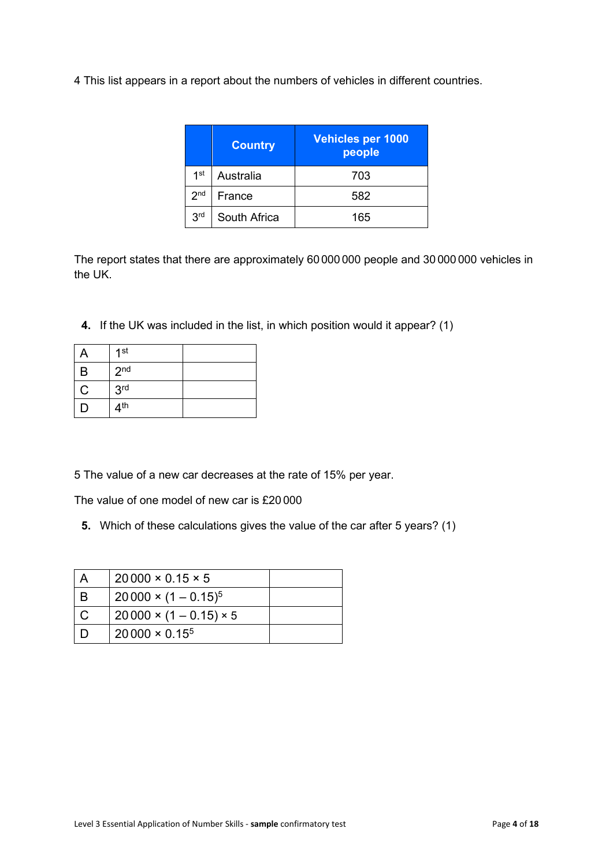4 This list appears in a report about the numbers of vehicles in different countries.

|                 | <b>Country</b> | <b>Vehicles per 1000</b><br>people |
|-----------------|----------------|------------------------------------|
| 1 <sup>st</sup> | Australia      | 703                                |
| 2 <sub>nd</sub> | France         | 582                                |
| 3 <sup>rd</sup> | South Africa   | 165                                |

The report states that there are approximately 60 000 000 people and 30 000 000 vehicles in the UK.

**4.** If the UK was included in the list, in which position would it appear? (1)

|   | 1 <sup>st</sup> |  |
|---|-----------------|--|
| B | 2 <sub>nd</sub> |  |
| C | 3 <sup>rd</sup> |  |
|   | 4 <sup>th</sup> |  |

5 The value of a new car decreases at the rate of 15% per year.

The value of one model of new car is £20 000

**5.** Which of these calculations gives the value of the car after 5 years? (1)

| $20000 \times 0.15 \times 5$       |  |
|------------------------------------|--|
| $20000 \times (1 - 0.15)^5$        |  |
| $20000 \times (1 - 0.15) \times 5$ |  |
| $20000 \times 0.15^{5}$            |  |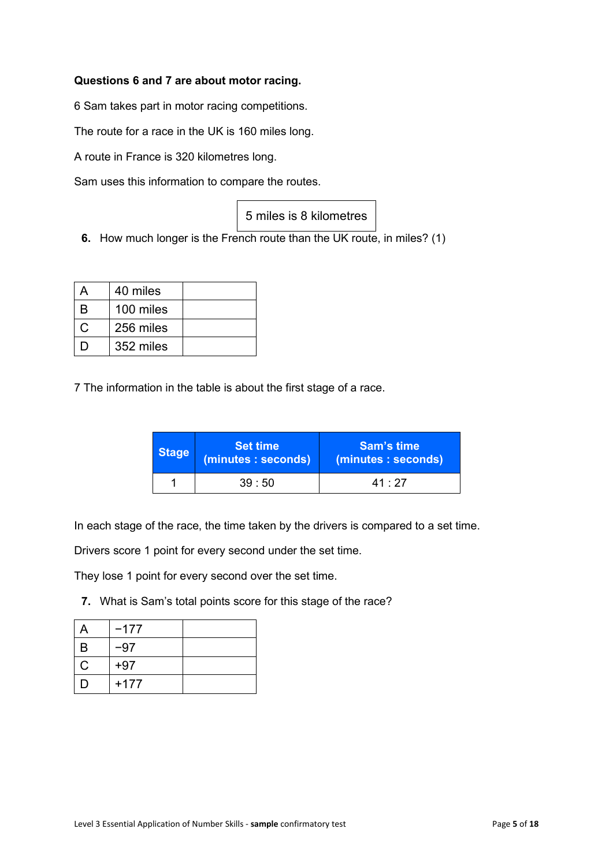#### **Questions 6 and 7 are about motor racing.**

6 Sam takes part in motor racing competitions.

The route for a race in the UK is 160 miles long.

A route in France is 320 kilometres long.

Sam uses this information to compare the routes.

|  |  |  |  |  | 5 miles is 8 kilometres |
|--|--|--|--|--|-------------------------|
|--|--|--|--|--|-------------------------|

**6.** How much longer is the French route than the UK route, in miles? (1)

|     | 40 miles  |  |
|-----|-----------|--|
| R   | 100 miles |  |
|     | 256 miles |  |
| ו ו | 352 miles |  |

7 The information in the table is about the first stage of a race.

| <b>Stage</b> | <b>Set time</b><br>(minutes: seconds) | Sam's time<br>(minutes: seconds) |
|--------------|---------------------------------------|----------------------------------|
| 39:50        |                                       | $41 \cdot 27$                    |

In each stage of the race, the time taken by the drivers is compared to a set time.

Drivers score 1 point for every second under the set time.

They lose 1 point for every second over the set time.

**7.** What is Sam's total points score for this stage of the race?

| д            | $-177$ |  |
|--------------|--------|--|
| B            | -97    |  |
| $\mathsf{C}$ | $+97$  |  |
| I)           | $+177$ |  |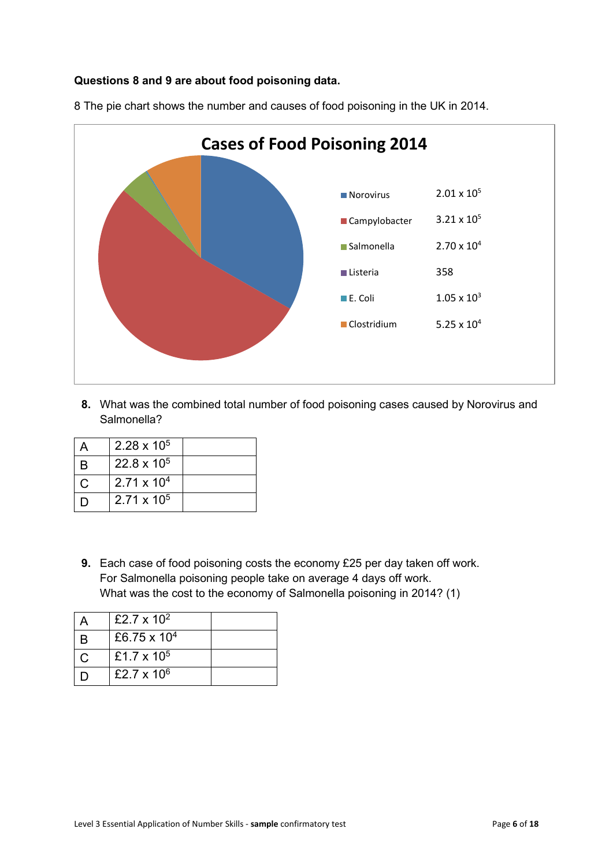#### **Questions 8 and 9 are about food poisoning data.**



8 The pie chart shows the number and causes of food poisoning in the UK in 2014.

**8.** What was the combined total number of food poisoning cases caused by Norovirus and Salmonella?

|     | $2.28 \times 10^5$   |  |
|-----|----------------------|--|
| В   | 22.8 x $10^5$        |  |
| C   | $2.71 \times 10^{4}$ |  |
| ו ו | $2.71 \times 10^5$   |  |

**9.** Each case of food poisoning costs the economy £25 per day taken off work. For Salmonella poisoning people take on average 4 days off work. What was the cost to the economy of Salmonella poisoning in 2014? (1)

|   | £2.7 x $10^2$  |  |
|---|----------------|--|
| В | £6.75 x $10^4$ |  |
|   | £1.7 x $10^5$  |  |
|   | £2.7 x $10^6$  |  |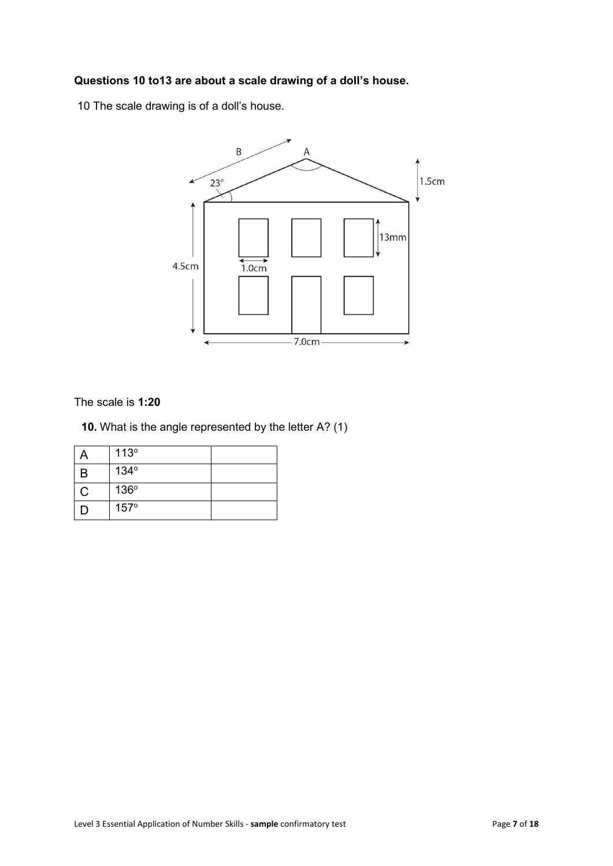### **Questions 10 to13 are about a scale drawing of a doll's house.**

10 The scale drawing is of a doll's house.



The scale is **1:20**

**10.** What is the angle represented by the letter A? (1)

|   | 113°        |  |
|---|-------------|--|
| B | 134°        |  |
| С | 136°        |  |
|   | $157^\circ$ |  |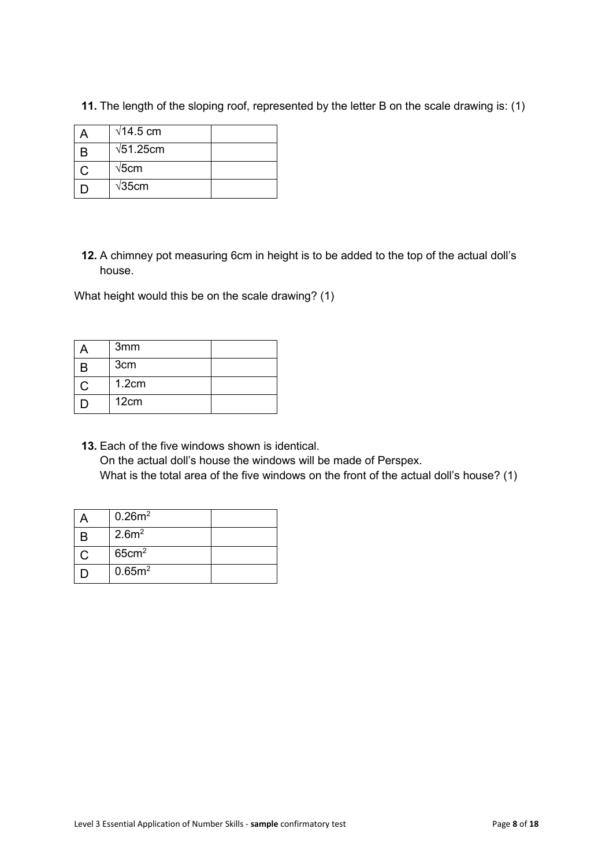| $\sqrt{14.5}$ cm  |  |
|-------------------|--|
| $\sqrt{51.25}$ cm |  |
| $\sqrt{5}$ cm     |  |
| $\sqrt{35}$ cm    |  |

**11.** The length of the sloping roof, represented by the letter B on the scale drawing is: (1)

**12.** A chimney pot measuring 6cm in height is to be added to the top of the actual doll's house.

What height would this be on the scale drawing? (1)

|   | 3 <sub>mm</sub> |  |
|---|-----------------|--|
| B | 3 <sub>cm</sub> |  |
|   | 1.2cm           |  |
|   | 12cm            |  |

**13.** Each of the five windows shown is identical. On the actual doll's house the windows will be made of Perspex. What is the total area of the five windows on the front of the actual doll's house? (1)

|   | $0.26m^2$          |  |
|---|--------------------|--|
| B | 2.6m <sup>2</sup>  |  |
|   | 65cm <sup>2</sup>  |  |
|   | 0.65m <sup>2</sup> |  |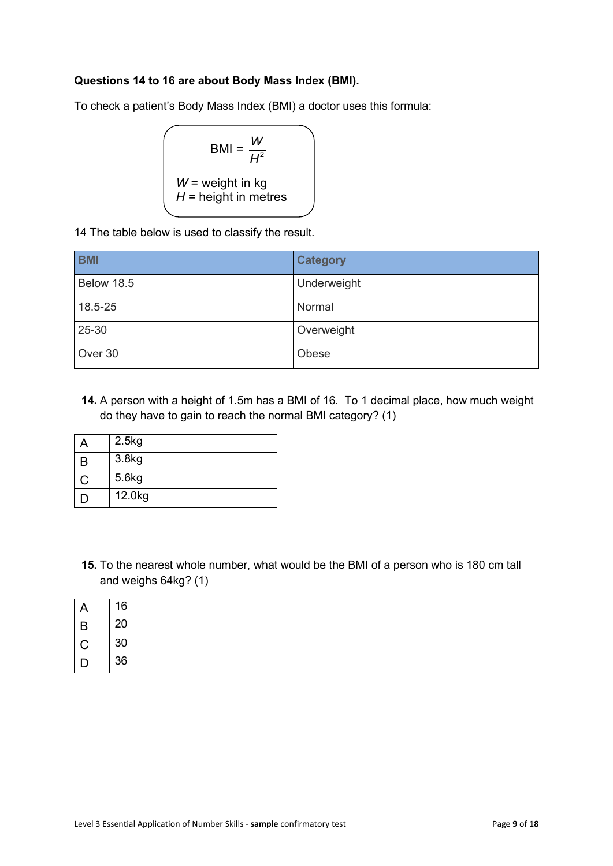#### **Questions 14 to 16 are about Body Mass Index (BMI).**

To check a patient's Body Mass Index (BMI) a doctor uses this formula:

$$
BMI = \frac{W}{H^2}
$$
  

$$
W = weight in kg
$$
  

$$
H = height in metres
$$

14 The table below is used to classify the result.

| <b>BMI</b> | <b>Category</b> |
|------------|-----------------|
| Below 18.5 | Underweight     |
| 18.5-25    | Normal          |
| 25-30      | Overweight      |
| Over 30    | Obese           |

**14.** A person with a height of 1.5m has a BMI of 16. To 1 decimal place, how much weight do they have to gain to reach the normal BMI category? (1)

| 2.5kg  |  |
|--------|--|
| 3.8kg  |  |
| 5.6kg  |  |
| 12.0kg |  |

**15.** To the nearest whole number, what would be the BMI of a person who is 180 cm tall and weighs 64kg? (1)

|              | 16 |  |
|--------------|----|--|
| B            | 20 |  |
| $\mathsf{C}$ | 30 |  |
| Ð            | 36 |  |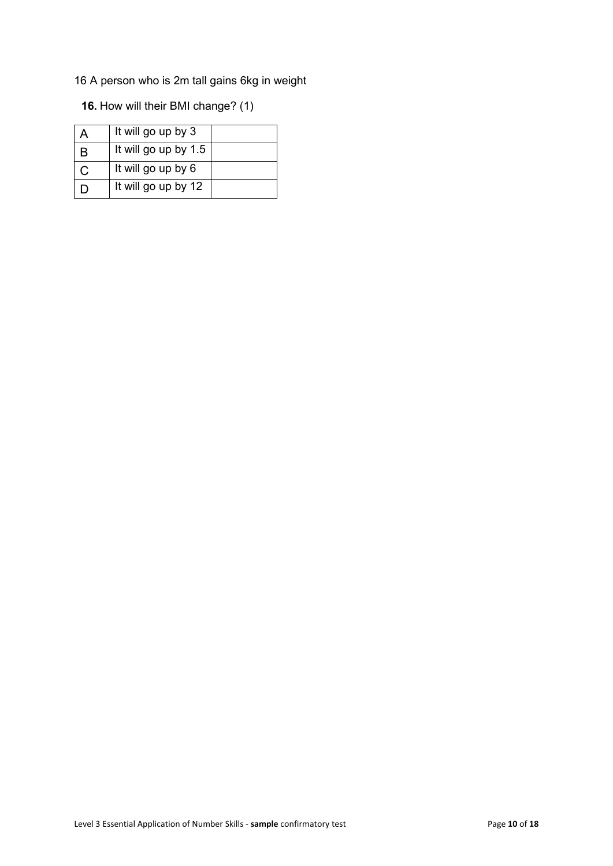16 A person who is 2m tall gains 6kg in weight

**16.** How will their BMI change? (1)

|     | It will go up by 3   |  |
|-----|----------------------|--|
| В   | It will go up by 1.5 |  |
|     | It will go up by 6   |  |
| ו ו | It will go up by 12  |  |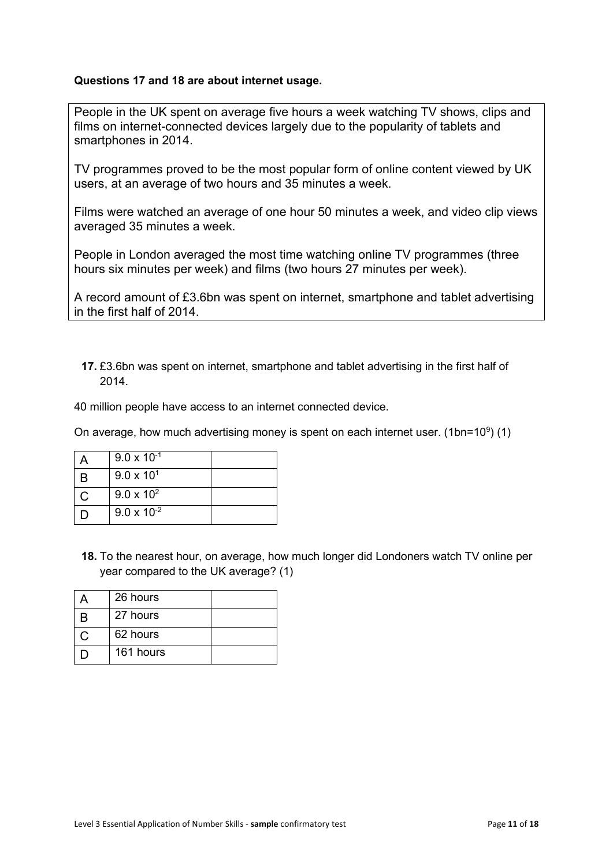#### **Questions 17 and 18 are about internet usage.**

People in the UK spent on average five hours a week watching TV shows, clips and films on internet-connected devices largely due to the popularity of tablets and smartphones in 2014.

TV programmes proved to be the most popular form of online content viewed by UK users, at an average of two hours and 35 minutes a week.

Films were watched an average of one hour 50 minutes a week, and video clip views averaged 35 minutes a week.

People in London averaged the most time watching online TV programmes (three hours six minutes per week) and films (two hours 27 minutes per week).

A record amount of £3.6bn was spent on internet, smartphone and tablet advertising in the first half of 2014.

**17.** £3.6bn was spent on internet, smartphone and tablet advertising in the first half of 2014.

40 million people have access to an internet connected device.

On average, how much advertising money is spent on each internet user. (1bn=10 $9$ ) (1)

|   | $9.0 \times 10^{-1}$ |  |
|---|----------------------|--|
| B | $9.0 \times 10^{1}$  |  |
| C | $9.0 \times 10^{2}$  |  |
|   | $9.0 \times 10^{-2}$ |  |

**18.** To the nearest hour, on average, how much longer did Londoners watch TV online per year compared to the UK average? (1)

| 26 hours  |  |
|-----------|--|
| 27 hours  |  |
| 62 hours  |  |
| 161 hours |  |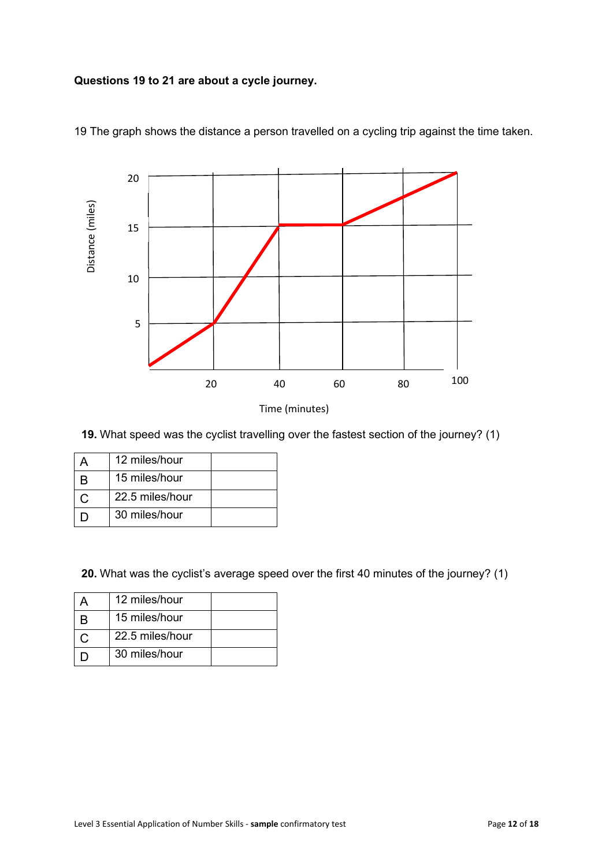#### **Questions 19 to 21 are about a cycle journey.**



19 The graph shows the distance a person travelled on a cycling trip against the time taken.

**19.** What speed was the cyclist travelling over the fastest section of the journey? (1)

| 12 miles/hour   |  |
|-----------------|--|
| 15 miles/hour   |  |
| 22.5 miles/hour |  |
| 30 miles/hour   |  |

**20.** What was the cyclist's average speed over the first 40 minutes of the journey? (1)

| 12 miles/hour   |  |
|-----------------|--|
| 15 miles/hour   |  |
| 22.5 miles/hour |  |
| 30 miles/hour   |  |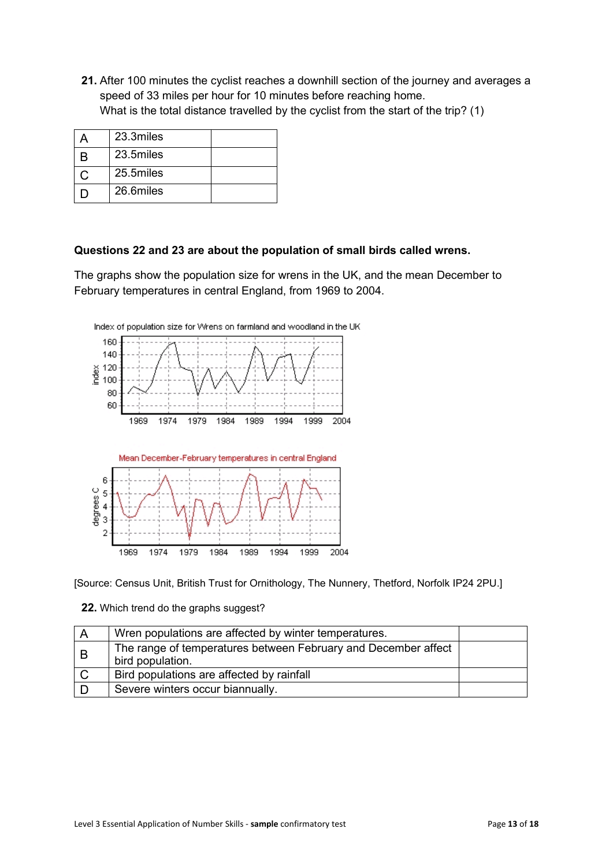**21.** After 100 minutes the cyclist reaches a downhill section of the journey and averages a speed of 33 miles per hour for 10 minutes before reaching home. What is the total distance travelled by the cyclist from the start of the trip? (1)

|   | 23.3miles |  |
|---|-----------|--|
| R | 23.5miles |  |
| C | 25.5miles |  |
|   | 26.6miles |  |

#### **Questions 22 and 23 are about the population of small birds called wrens.**

The graphs show the population size for wrens in the UK, and the mean December to February temperatures in central England, from 1969 to 2004.



[Source: Census Unit, British Trust for Ornithology, The Nunnery, Thetford, Norfolk IP24 2PU.]

#### **22.** Which trend do the graphs suggest?

| A | Wren populations are affected by winter temperatures.                              |  |
|---|------------------------------------------------------------------------------------|--|
| B | The range of temperatures between February and December affect<br>bird population. |  |
|   | Bird populations are affected by rainfall                                          |  |
|   | Severe winters occur biannually.                                                   |  |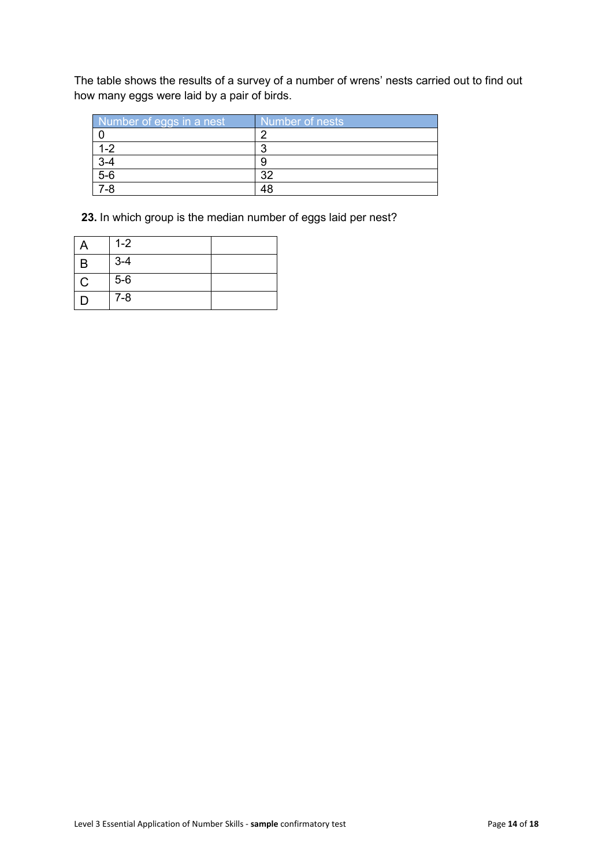The table shows the results of a survey of a number of wrens' nests carried out to find out how many eggs were laid by a pair of birds.

| Number of eggs in a nest | Number of nests |
|--------------------------|-----------------|
|                          |                 |
|                          | n               |
|                          |                 |
| $\frac{3-4}{5-6}$        | າດ              |
| $7-8$                    |                 |

**23.** In which group is the median number of eggs laid per nest?

|             | $1 - 2$ |  |
|-------------|---------|--|
| B           | $3 - 4$ |  |
| $\mathsf C$ | $5-6$   |  |
| I)          | $7 - 8$ |  |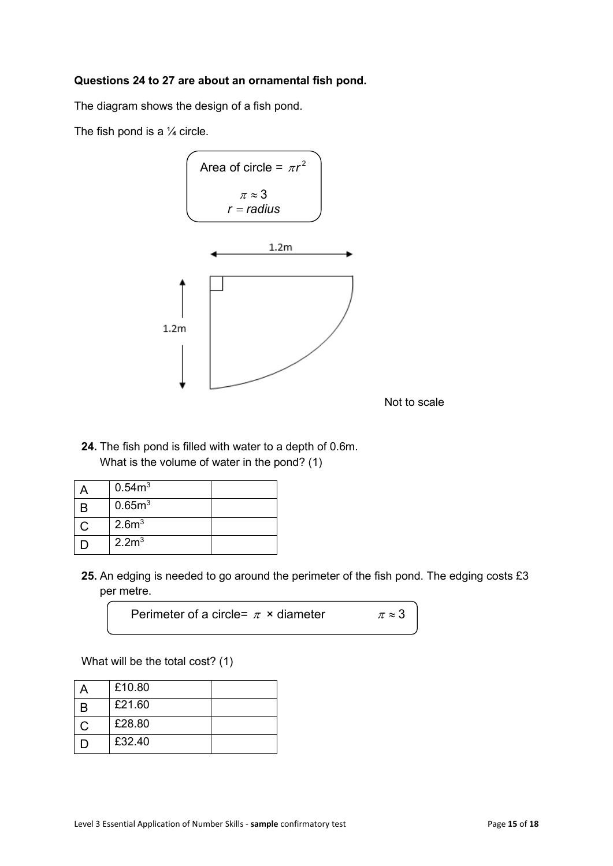#### **Questions 24 to 27 are about an ornamental fish pond.**

The diagram shows the design of a fish pond.

The fish pond is a  $\frac{1}{4}$  circle.



Not to scale

**24.** The fish pond is filled with water to a depth of 0.6m. What is the volume of water in the pond? (1)

| 0.54m <sup>3</sup> |  |
|--------------------|--|
| 0.65m <sup>3</sup> |  |
| 2.6 <sup>m3</sup>  |  |
| 2.2 <sup>m</sup>   |  |

**25.** An edging is needed to go around the perimeter of the fish pond. The edging costs £3 per metre.

Perimeter of a circle=  $\pi \times$  diameter  $\pi \approx 3$ 

What will be the total cost? (1)

|     | £10.80 |  |
|-----|--------|--|
| R   | £21.60 |  |
| C.  | £28.80 |  |
| 1 X | £32.40 |  |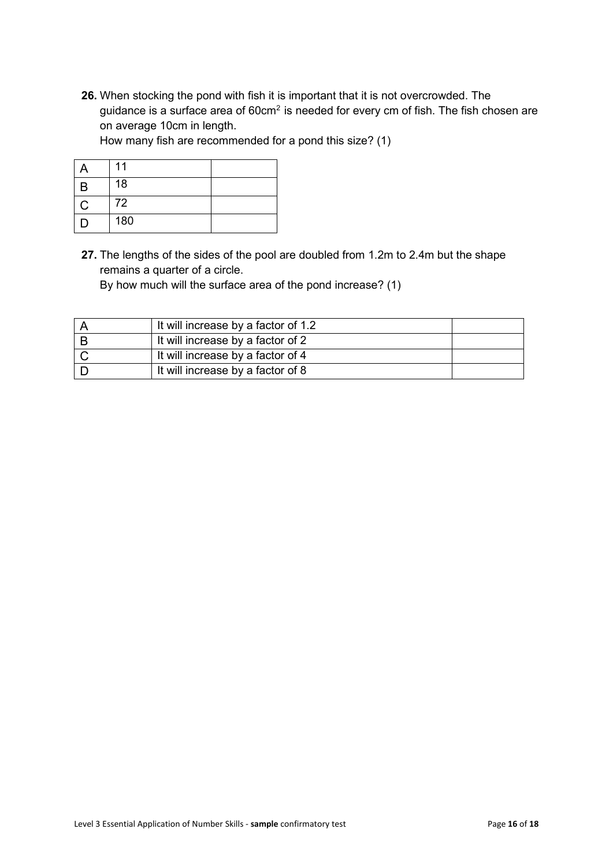**26.** When stocking the pond with fish it is important that it is not overcrowded. The guidance is a surface area of  $60 \text{cm}^2$  is needed for every cm of fish. The fish chosen are on average 10cm in length.

How many fish are recommended for a pond this size? (1)

|   | 11  |  |
|---|-----|--|
| B | 18  |  |
| Ć | 72  |  |
| D | 180 |  |

**27.** The lengths of the sides of the pool are doubled from 1.2m to 2.4m but the shape remains a quarter of a circle.

By how much will the surface area of the pond increase? (1)

| It will increase by a factor of 1.2 |  |
|-------------------------------------|--|
| It will increase by a factor of 2   |  |
| It will increase by a factor of 4   |  |
| It will increase by a factor of 8   |  |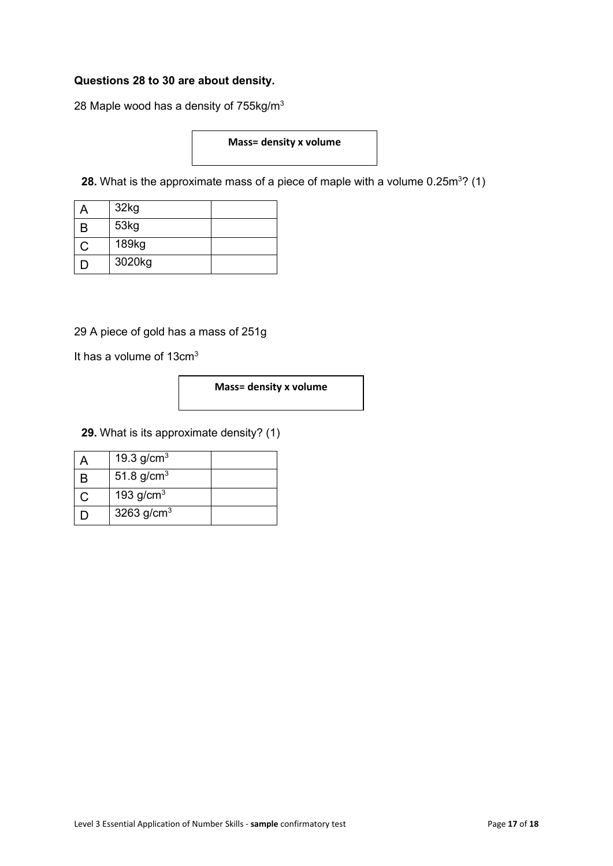#### **Questions 28 to 30 are about density.**

28 Maple wood has a density of 755kg/m<sup>3</sup>

#### **Mass= density x volume**

**28.** What is the approximate mass of a piece of maple with a volume 0.25 $\mathsf{m}^{3}\mathsf{?}\left(1\right)$ 

|   | 32kg   |  |
|---|--------|--|
| B | 53kg   |  |
|   | 189kg  |  |
| Ш | 3020kg |  |

29 A piece of gold has a mass of 251g

It has a volume of  $13 \text{cm}^3$ 

#### **Mass= density x volume**

**29.** What is its approximate density? (1)

| 19.3 $g/cm^{3}$        |  |
|------------------------|--|
| 51.8 $g/cm^{3}$        |  |
| 193 g/cm <sup>3</sup>  |  |
| 3263 g/cm <sup>3</sup> |  |